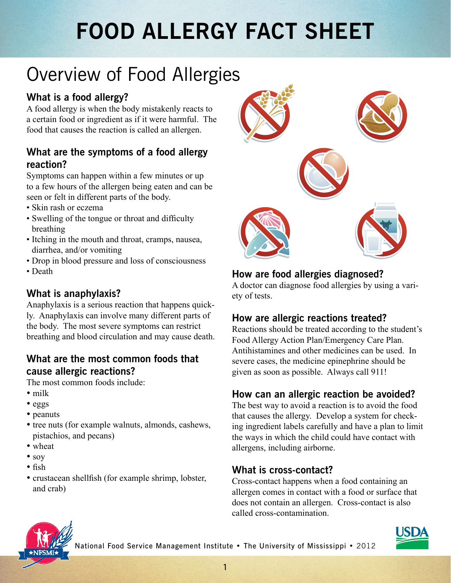# **FOOD ALLERGY FACT SHEET**

### Overview of Food Allergies

#### **What is a food allergy?**

A food allergy is when the body mistakenly reacts to a certain food or ingredient as if it were harmful. The food that causes the reaction is called an allergen.

#### **What are the symptoms of a food allergy reaction?**

Symptoms can happen within a few minutes or up to a few hours of the allergen being eaten and can be seen or felt in different parts of the body.

- Skin rash or eczema
- Swelling of the tongue or throat and difficulty breathing
- Itching in the mouth and throat, cramps, nausea, diarrhea, and/or vomiting
- Drop in blood pressure and loss of consciousness
- Death

#### **What is anaphylaxis?**

Anaphylaxis is a serious reaction that happens quickly. Anaphylaxis can involve many different parts of the body. The most severe symptoms can restrict breathing and blood circulation and may cause death.

#### **What are the most common foods that cause allergic reactions?**

The most common foods include:

- milk
- eggs
- peanuts
- tree nuts (for example walnuts, almonds, cashews, pistachios, and pecans)
- wheat
- soy
- fish
- crustacean shellfish (for example shrimp, lobster, and crab)



#### **How are food allergies diagnosed?**

A doctor can diagnose food allergies by using a variety of tests.

#### **How are allergic reactions treated?**

Reactions should be treated according to the student's Food Allergy Action Plan/Emergency Care Plan. Antihistamines and other medicines can be used. In severe cases, the medicine epinephrine should be given as soon as possible. Always call 911!

#### **How can an allergic reaction be avoided?**

The best way to avoid a reaction is to avoid the food that causes the allergy. Develop a system for checking ingredient labels carefully and have a plan to limit the ways in which the child could have contact with allergens, including airborne.

#### **What is cross-contact?**

Cross-contact happens when a food containing an allergen comes in contact with a food or surface that does not contain an allergen. Cross-contact is also called cross-contamination.



National Food Service Management Institute • The University of Mississippi • 2012